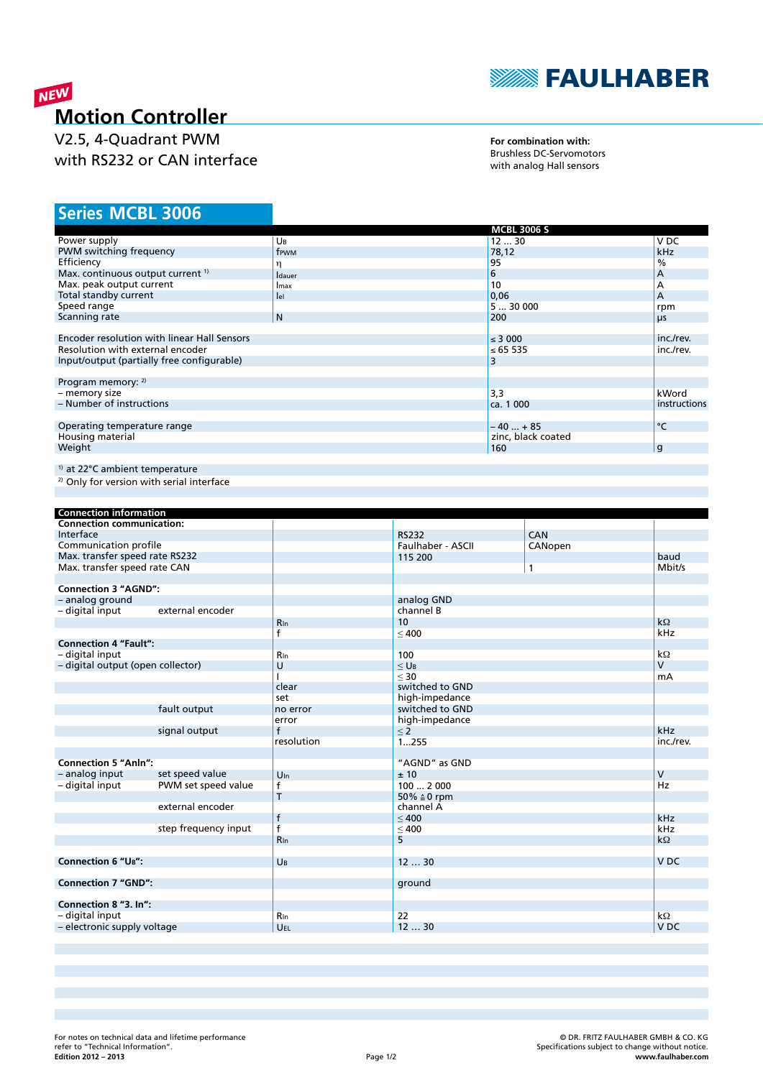

# NEW **Motion Controller**

V2.5, 4-Quadrant PWM with RS232 or CAN interface

**For combination with:** Brushless DC-Servomotors with analog Hall sensors

# **MCBL 3006 Series**

|                                              |                | <b>MCBL 3006 S</b> |               |
|----------------------------------------------|----------------|--------------------|---------------|
| Power supply                                 | UB             | 1230               | V DC          |
| PWM switching frequency                      | frwm           | 78,12              | kHz           |
| Efficiency                                   | η              | 95                 | $\frac{0}{0}$ |
| Max. continuous output current <sup>1)</sup> | <b>I</b> dauer | 6                  | А             |
| Max. peak output current                     | Imax           | 10                 | А             |
| Total standby current                        | lel            | 0,06               | A             |
| Speed range                                  |                | 530000             | rpm           |
| Scanning rate                                | N              | 200                | μs            |
|                                              |                |                    |               |
| Encoder resolution with linear Hall Sensors  |                | $\leq$ 3 000       | inc./rev.     |
| Resolution with external encoder             |                | ≤ 65 535           | inc./rev.     |
| Input/output (partially free configurable)   |                | 3                  |               |
|                                              |                |                    |               |
| Program memory: 2)                           |                |                    |               |
| - memory size                                |                | 3,3                | kWord         |
| - Number of instructions                     |                | ca. 1 000          | instructions  |
|                                              |                |                    |               |
| Operating temperature range                  |                | $-40+85$           | °C            |
| Housing material                             |                | zinc, black coated |               |
| Weight                                       |                | 160                | g             |
|                                              |                |                    |               |
| <sup>1)</sup> at 22°C ambient temperature    |                |                    |               |

2) Only for version with serial interface

| <b>Connection information</b>     |                      |                 |                    |              |                 |
|-----------------------------------|----------------------|-----------------|--------------------|--------------|-----------------|
| <b>Connection communication:</b>  |                      |                 |                    |              |                 |
| Interface                         |                      |                 | <b>RS232</b>       | CAN          |                 |
| Communication profile             |                      |                 | Faulhaber - ASCII  | CANopen      |                 |
| Max. transfer speed rate RS232    |                      |                 | 115 200            |              | baud            |
| Max. transfer speed rate CAN      |                      |                 |                    | $\mathbf{1}$ | Mbit/s          |
|                                   |                      |                 |                    |              |                 |
| <b>Connection 3 "AGND":</b>       |                      |                 |                    |              |                 |
| - analog ground                   |                      |                 | analog GND         |              |                 |
| - digital input                   | external encoder     |                 | channel B          |              |                 |
|                                   |                      | $R_{\ln}$       | 10                 |              | $k\Omega$       |
|                                   |                      | f               | < 400              |              | kHz             |
| <b>Connection 4 "Fault":</b>      |                      |                 |                    |              |                 |
| - digital input                   |                      | <b>R</b> In     | 100                |              | $k\Omega$       |
| - digital output (open collector) |                      | U               | $<$ U <sub>B</sub> |              | $\mathsf{V}$    |
|                                   |                      |                 | $<$ 30             |              | mA              |
|                                   |                      | clear           | switched to GND    |              |                 |
|                                   |                      | set             | high-impedance     |              |                 |
|                                   | fault output         | no error        | switched to GND    |              |                 |
|                                   |                      | error           | high-impedance     |              |                 |
|                                   | signal output        | $\mathsf{f}$    | $\leq 2$           |              | kHz             |
|                                   |                      | resolution      | 1255               |              | inc./rev.       |
|                                   |                      |                 |                    |              |                 |
| <b>Connection 5 "Anln":</b>       |                      |                 | "AGND" as GND      |              |                 |
| - analog input                    | set speed value      | $U_{\text{In}}$ | ± 10               |              | $\mathsf{V}$    |
| - digital input                   | PWM set speed value  | f               | 1002000            |              | Hz              |
|                                   |                      | T               | 50% ≙0 rpm         |              |                 |
|                                   | external encoder     |                 | channel A          |              |                 |
|                                   |                      | $\mathsf{f}$    | < 400              |              | kHz             |
|                                   | step frequency input | $\overline{f}$  | $\leq 400$         |              | kHz             |
|                                   |                      | <b>R</b> In     | 5                  |              | $k\Omega$       |
|                                   |                      |                 |                    |              |                 |
| <b>Connection 6 "UB":</b>         |                      | UB              | 1230               |              | V <sub>DC</sub> |
|                                   |                      |                 |                    |              |                 |
| <b>Connection 7 "GND":</b>        |                      |                 | ground             |              |                 |
|                                   |                      |                 |                    |              |                 |
| Connection 8 "3. In":             |                      |                 |                    |              |                 |
| - digital input                   |                      | <b>R</b> In     | 22                 |              | $k\Omega$       |
| - electronic supply voltage       |                      | UEL             | 1230               |              | V <sub>DC</sub> |
|                                   |                      |                 |                    |              |                 |